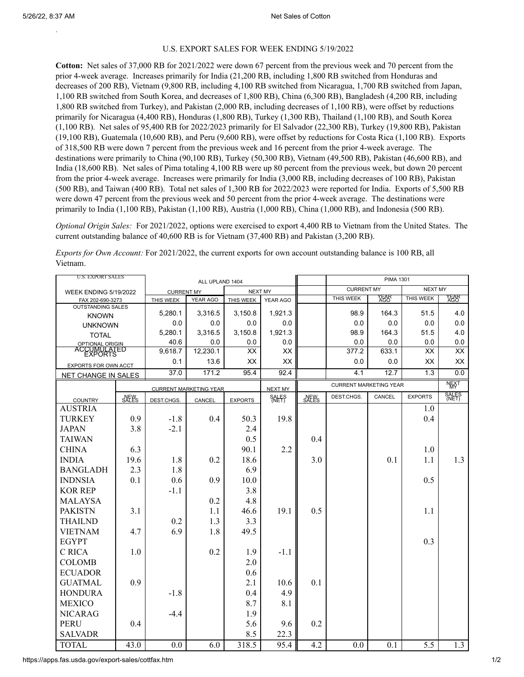`

## U.S. EXPORT SALES FOR WEEK ENDING 5/19/2022

**Cotton:** Net sales of 37,000 RB for 2021/2022 were down 67 percent from the previous week and 70 percent from the prior 4-week average. Increases primarily for India (21,200 RB, including 1,800 RB switched from Honduras and decreases of 200 RB), Vietnam (9,800 RB, including 4,100 RB switched from Nicaragua, 1,700 RB switched from Japan, 1,100 RB switched from South Korea, and decreases of 1,800 RB), China (6,300 RB), Bangladesh (4,200 RB, including 1,800 RB switched from Turkey), and Pakistan (2,000 RB, including decreases of 1,100 RB), were offset by reductions primarily for Nicaragua (4,400 RB), Honduras (1,800 RB), Turkey (1,300 RB), Thailand (1,100 RB), and South Korea (1,100 RB). Net sales of 95,400 RB for 2022/2023 primarily for El Salvador (22,300 RB), Turkey (19,800 RB), Pakistan (19,100 RB), Guatemala (10,600 RB), and Peru (9,600 RB), were offset by reductions for Costa Rica (1,100 RB). Exports of 318,500 RB were down 7 percent from the previous week and 16 percent from the prior 4-week average. The destinations were primarily to China (90,100 RB), Turkey (50,300 RB), Vietnam (49,500 RB), Pakistan (46,600 RB), and India (18,600 RB). Net sales of Pima totaling 4,100 RB were up 80 percent from the previous week, but down 20 percent from the prior 4-week average. Increases were primarily for India (3,000 RB, including decreases of 100 RB), Pakistan (500 RB), and Taiwan (400 RB). Total net sales of 1,300 RB for 2022/2023 were reported for India. Exports of 5,500 RB were down 47 percent from the previous week and 50 percent from the prior 4-week average. The destinations were primarily to India (1,100 RB), Pakistan (1,100 RB), Austria (1,000 RB), China (1,000 RB), and Indonesia (500 RB).

*Optional Origin Sales:* For 2021/2022, options were exercised to export 4,400 RB to Vietnam from the United States. The current outstanding balance of 40,600 RB is for Vietnam (37,400 RB) and Pakistan (3,200 RB).

*Exports for Own Account:* For 2021/2022, the current exports for own account outstanding balance is 100 RB, all Vietnam.

| <b>U.S. EXPORT SALES</b>                           |       | ALL UPLAND 1404               |                |                |                |       | <b>PIMA 1301</b>              |              |                |              |
|----------------------------------------------------|-------|-------------------------------|----------------|----------------|----------------|-------|-------------------------------|--------------|----------------|--------------|
| <b>WEEK ENDING 5/19/2022</b>                       |       | <b>CURRENT MY</b>             |                | <b>NEXT MY</b> |                |       | <b>CURRENT MY</b>             |              | <b>NEXT MY</b> |              |
| FAX 202-690-3273                                   |       | THIS WEEK                     | YEAR AGO       | THIS WEEK      | YEAR AGO       |       | THIS WEEK                     | YEAR<br>AGO  | THIS WEEK      | YEAR<br>AGO  |
| <b>OUTSTANDING SALES</b>                           |       | 5,280.1                       |                | 3,150.8        | 1,921.3        |       |                               | 164.3        |                |              |
| <b>KNOWN</b>                                       |       |                               | 3,316.5        |                |                |       | 98.9                          |              | 51.5           | 4.0          |
| <b>UNKNOWN</b>                                     |       | 0.0                           | 0.0            | 0.0            | 0.0            |       | 0.0<br>98.9                   | 0.0          | 0.0<br>51.5    | 0.0<br>4.0   |
| <b>TOTAL</b>                                       |       | 5,280.1<br>40.6               | 3,316.5<br>0.0 | 3,150.8        | 1,921.3<br>0.0 |       | 0.0                           | 164.3<br>0.0 | 0.0            |              |
| OPTIONAL ORIGIN<br>ACCUMULATED                     |       | 9,618.7                       | 12,230.1       | 0.0<br>XX      | XX             |       | 377.2                         | 633.1        | <b>XX</b>      | 0.0<br>XX    |
|                                                    |       | 0.1                           | 13.6           | XX             | XX             |       | 0.0                           | 0.0          | XX             | XX           |
| EXPORTS FOR OWN ACCT<br><b>NET CHANGE IN SALES</b> |       | 37.0                          | 171.2          | 95.4           | 92.4           |       | 4.1                           | 12.7         | 1.3            | 0.0          |
|                                                    |       |                               |                |                |                |       | <b>CURRENT MARKETING YEAR</b> |              |                | <b>NEXT</b>  |
|                                                    |       | <b>CURRENT MARKETING YEAR</b> |                |                | NEXT MY        |       | CANCEL<br>DEST.CHGS.          |              | <b>EXPORTS</b> | <b>SALES</b> |
| <b>COUNTRY</b>                                     | SALES | DEST.CHGS.                    | CANCEL         | <b>EXPORTS</b> | <b>SALES</b>   | SALES |                               |              |                |              |
| <b>AUSTRIA</b>                                     |       |                               |                |                |                |       |                               |              | 1.0            |              |
| <b>TURKEY</b>                                      | 0.9   | $-1.8$                        | 0.4            | 50.3           | 19.8           |       |                               |              | 0.4            |              |
| <b>JAPAN</b>                                       | 3.8   | $-2.1$                        |                | 2.4            |                |       |                               |              |                |              |
| <b>TAIWAN</b>                                      |       |                               |                | 0.5            |                | 0.4   |                               |              |                |              |
| <b>CHINA</b>                                       | 6.3   |                               |                | 90.1           | 2.2            |       |                               |              | 1.0            |              |
| <b>INDIA</b>                                       | 19.6  | 1.8                           | 0.2            | 18.6           |                | 3.0   |                               | 0.1          | 1.1            | 1.3          |
| <b>BANGLADH</b>                                    | 2.3   | 1.8                           |                | 6.9            |                |       |                               |              |                |              |
| <b>INDNSIA</b>                                     | 0.1   | 0.6                           | 0.9            | 10.0           |                |       |                               |              | 0.5            |              |
| <b>KOR REP</b>                                     |       | $-1.1$                        |                | 3.8            |                |       |                               |              |                |              |
| <b>MALAYSA</b>                                     |       |                               | 0.2            | 4.8            |                |       |                               |              |                |              |
| <b>PAKISTN</b>                                     | 3.1   |                               | 1.1            | 46.6           | 19.1           | 0.5   |                               |              | 1.1            |              |
| <b>THAILND</b>                                     |       | 0.2                           | 1.3            | 3.3            |                |       |                               |              |                |              |
| <b>VIETNAM</b>                                     | 4.7   | 6.9                           | 1.8            | 49.5           |                |       |                               |              |                |              |
| <b>EGYPT</b>                                       |       |                               |                |                |                |       |                               |              | 0.3            |              |
| C RICA                                             | 1.0   |                               | 0.2            | 1.9            | $-1.1$         |       |                               |              |                |              |
| <b>COLOMB</b>                                      |       |                               |                | 2.0            |                |       |                               |              |                |              |
| <b>ECUADOR</b>                                     |       |                               |                | 0.6            |                |       |                               |              |                |              |
| <b>GUATMAL</b>                                     | 0.9   |                               |                | 2.1            | 10.6           | 0.1   |                               |              |                |              |
| <b>HONDURA</b>                                     |       | $-1.8$                        |                | 0.4            | 4.9            |       |                               |              |                |              |
| <b>MEXICO</b>                                      |       |                               |                | 8.7            | 8.1            |       |                               |              |                |              |
| <b>NICARAG</b>                                     |       | $-4.4$                        |                | 1.9            |                |       |                               |              |                |              |
| <b>PERU</b>                                        | 0.4   |                               |                | 5.6            | 9.6            | 0.2   |                               |              |                |              |
| <b>SALVADR</b>                                     |       |                               |                | 8.5            | 22.3           |       |                               |              |                |              |
| <b>TOTAL</b>                                       | 43.0  | 0.0                           | 6.0            | 318.5          | 95.4           | 4.2   | 0.0                           | 0.1          | 5.5            | 1.3          |
|                                                    |       |                               |                |                |                |       |                               |              |                |              |

https://apps.fas.usda.gov/export-sales/cottfax.htm 1/2